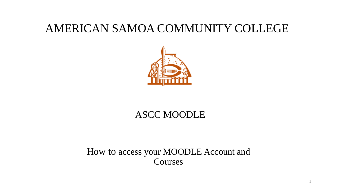### AMERICAN SAMOA COMMUNITY COLLEGE



#### ASCC MOODLE

#### How to access your MOODLE Account and Courses

1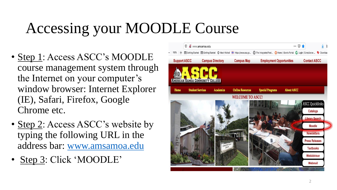# Accessing your MOODLE Course

- Step 1: Access ASCC's MOODLE course management system through the Internet on your computer's window browser: Internet Explorer (IE), Safari, Firefox, Google Chrome etc.
- Step 2: Access ASCC's website by typing the following URL in the address bar: [www.amsamoa.edu](http://www.amsamoa.edu/)
- Step 3: Click 'MOODLE'

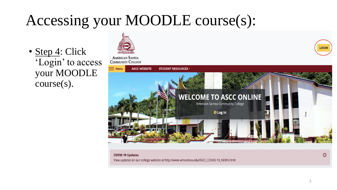• Step 4: Click 'Login' to access your MOODLE course(s).

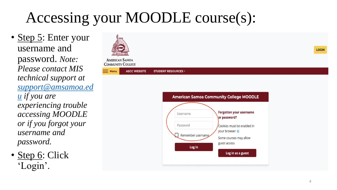• Step 5: Enter your username and password. *Note: Please contact MIS technical support at [support@amsamoa.ed](mailto:support@amsamoa.edu) u if you are experiencing trouble accessing MOODLE or if you forgot your username and password.*

• Step 6: Click 'Login'.





**LOGIN** 

4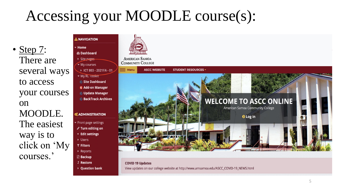• <u>Step 7</u>: There are several ways to access your courses on MOODLE. The easiest way is to click on 'My courses.'

**A NAVIGATION T** Home *G* Dashboard ▶ Site pages • My courses ▶ ICT 803 - 2021FA - 01 • My RL TOOIKIT Site Dashboard **6 Add-on Manager Judate Manager BackTrack Archives** 

#### **<b>CC ADMINISTRATION**

- Front page settings
- i Turn editing on
- **Edit settings**
- Dividens **T** Filters
- ▶ Reports
- **Backup**
- **1 Restore**
- ▶ Question bank





**COVID 19 Updates** View updates on our college website at http://www.amsamoa.edu/ASCC\_COVID-19\_NEWS.html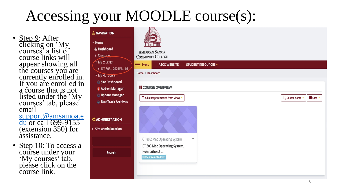- Step 9: After clicking on 'My courses' a list of course links will appear showing all the courses you are currently enrolled in. If you are enrolled in a course that is not listed under the 'My courses' tab, please email [support@amsamoa.e](mailto:support@amsamoa.edu%20for) du or call 699-9155 (extension 350) for assistance.
- Step 10: To access a course under your 'My courses' tab, please click on the course link.

| <b>A NAVIGATION</b>                                                                                      |                                                                                                                                             |                                               |
|----------------------------------------------------------------------------------------------------------|---------------------------------------------------------------------------------------------------------------------------------------------|-----------------------------------------------|
| • Home<br><b>@ Dashboard</b><br>Site pages<br>◆ My courses<br>▶ ICT 803 - 2021FA - 01<br>• My RL Toolkit | <b>AMERICAN SAMOA</b><br><b>COMMUNITY COLLEGE</b><br><b>ASCC WEBSITE</b><br>$\equiv$ Menu<br><b>STUDENT RESOURCES v</b><br>Home / Dashboard |                                               |
| Site Dashboard<br><b>6 Add-on Manager</b><br>Update Manager<br><b>BackTrack Archives</b>                 | <b>II</b> COURSE OVERVIEW<br>T All (except removed from view) -                                                                             | $\dddot{=}$ Card $\ddot{ }$<br>LE Course name |
| <b><b>COMINISTRATION</b></b><br>▶ Site administration                                                    |                                                                                                                                             |                                               |
| <b>Search</b>                                                                                            | ICT 803: Mac Operating System<br>888<br>ICT 803 Mac Operating System,<br>Installation &<br><b>Hidden from students</b>                      |                                               |